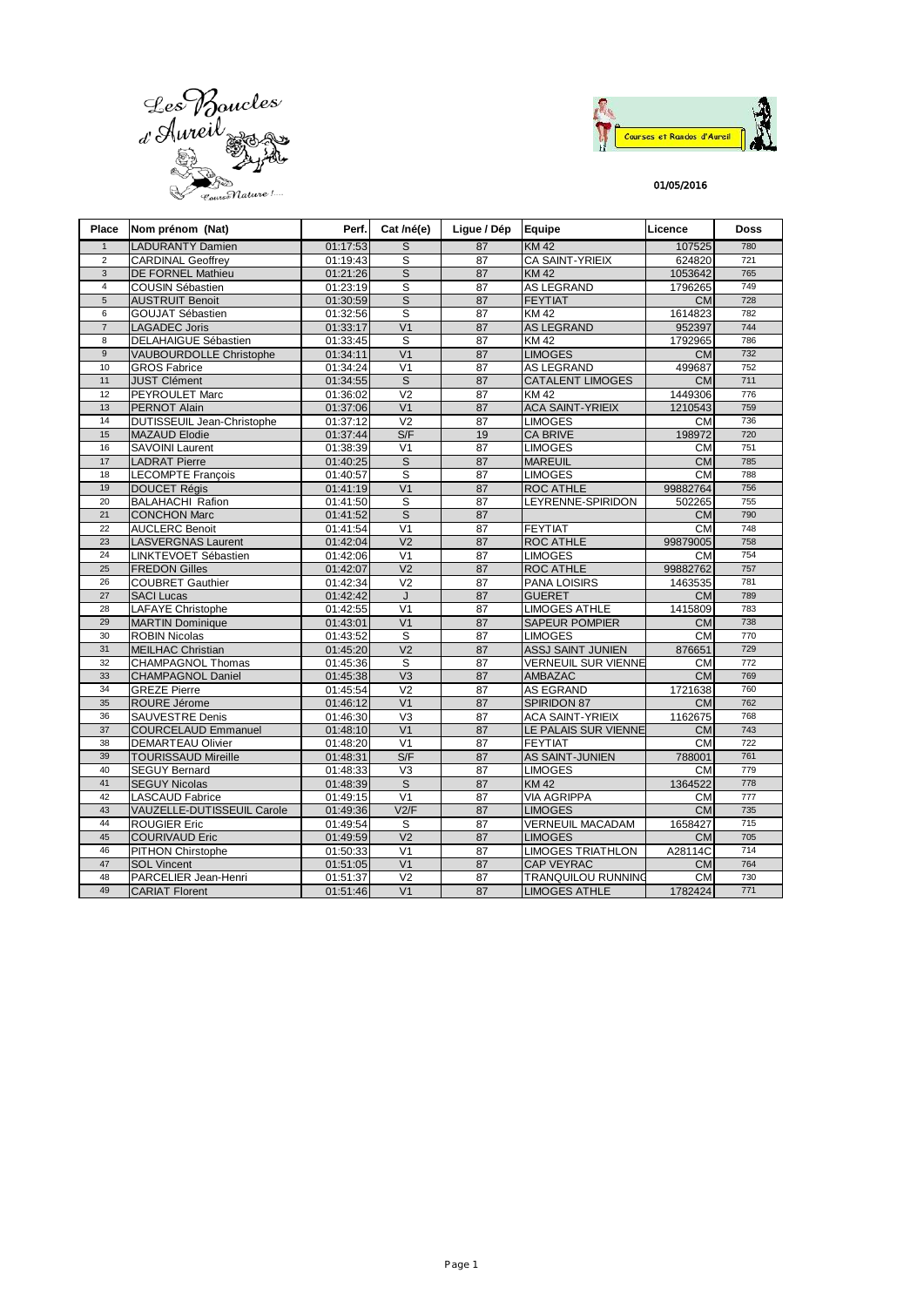



## 01/05/2016

| Place          | Nom prénom (Nat)               | Perf.    | Cat /né(e)              | Ligue / Dép | Equipe                    | Licence   | Doss             |
|----------------|--------------------------------|----------|-------------------------|-------------|---------------------------|-----------|------------------|
| $\mathbf{1}$   | <b>LADURANTY Damien</b>        | 01:17:53 | $\mathsf{s}$            | 87          | <b>KM42</b>               | 107525    | 780              |
| $\overline{2}$ | <b>CARDINAL Geoffrey</b>       | 01:19:43 | s                       | 87          | CA SAINT-YRIEIX           | 624820    | 721              |
| $\mathbf{3}$   | DE FORNEL Mathieu              | 01:21:26 | $\overline{s}$          | 87          | KM 42                     | 1053642   | 765              |
| $\overline{4}$ | COUSIN Sébastien               | 01:23:19 | s                       | 87          | AS LEGRAND                | 1796265   | 749              |
| 5              | <b>AUSTRUIT Benoit</b>         | 01:30:59 | S                       | 87          | <b>FEYTIAT</b>            | <b>CM</b> | 728              |
| 6              | <b>GOUJAT Sébastien</b>        | 01:32:56 | $\overline{s}$          | 87          | <b>KM42</b>               | 1614823   | 782              |
| $\overline{7}$ | <b>LAGADEC Joris</b>           | 01:33:17 | V <sub>1</sub>          | 87          | <b>AS LEGRAND</b>         | 952397    | 744              |
| 8              | <b>DELAHAIGUE Sébastien</b>    | 01:33:45 | S                       | 87          | <b>KM42</b>               | 1792965   | 786              |
| $\overline{9}$ | <b>VAUBOURDOLLE Christophe</b> | 01:34:11 | V <sub>1</sub>          | 87          | <b>LIMOGES</b>            | <b>CM</b> | 732              |
| 10             | <b>GROS Fabrice</b>            | 01:34:24 | V <sub>1</sub>          | 87          | AS LEGRAND                | 499687    | 752              |
| 11             | <b>JUST Clément</b>            | 01:34:55 | $\overline{s}$          | 87          | CATALENT LIMOGES          | <b>CM</b> | 711              |
| 12             | PEYROULET Marc                 | 01:36:02 | V <sub>2</sub>          | 87          | KM 42                     | 1449306   | 776              |
| 13             | PERNOT Alain                   | 01:37:06 | V <sub>1</sub>          | 87          | <b>ACA SAINT-YRIEIX</b>   | 1210543   | 759              |
| 14             | DUTISSEUIL Jean-Christophe     | 01:37:12 | V <sub>2</sub>          | 87          | LIMOGES                   | <b>CM</b> | 736              |
| 15             | <b>MAZAUD Elodie</b>           | 01:37:44 | S/F                     | 19          | CA BRIVE                  | 198972    | 720              |
| 16             | <b>SAVOINI Laurent</b>         | 01:38:39 | V <sub>1</sub>          | 87          | <b>LIMOGES</b>            | <b>CM</b> | 751              |
| 17             | <b>LADRAT Pierre</b>           | 01:40:25 | $\overline{s}$          | 87          | <b>MAREUIL</b>            | <b>CM</b> | 785              |
| 18             | <b>LECOMPTE Francois</b>       | 01:40:57 | s                       | 87          | <b>LIMOGES</b>            | <b>CM</b> | 788              |
| 19             | <b>DOUCET Régis</b>            | 01:41:19 | V <sub>1</sub>          | 87          | <b>ROC ATHLE</b>          | 99882764  | 756              |
| 20             | <b>BALAHACHI Rafion</b>        | 01:41:50 | $\overline{s}$          | 87          | LEYRENNE-SPIRIDON         | 502265    | 755              |
| 21             | <b>CONCHON Marc</b>            | 01:41:52 | $\overline{\mathsf{s}}$ | 87          |                           | <b>CM</b> | 790              |
| 22             | <b>AUCLERC Benoit</b>          | 01:41:54 | V <sub>1</sub>          | 87          | <b>FEYTIAT</b>            | <b>CM</b> | 748              |
| 23             | <b>LASVERGNAS Laurent</b>      | 01:42:04 | V <sub>2</sub>          | 87          | ROC ATHLE                 | 99879005  | 758              |
| 24             | LINKTEVOET Sébastien           | 01:42:06 | V <sub>1</sub>          | 87          | <b>LIMOGES</b>            | <b>CM</b> | 754              |
| 25             | <b>FREDON Gilles</b>           | 01:42:07 | V <sub>2</sub>          | 87          | <b>ROC ATHLE</b>          | 99882762  | 757              |
| 26             | <b>COUBRET Gauthier</b>        | 01:42:34 | $\overline{V}$          | 87          | PANA LOISIRS              | 1463535   | 781              |
| 27             | <b>SACI Lucas</b>              | 01:42:42 | J                       | 87          | <b>GUERET</b>             | <b>CM</b> | 789              |
| 28             | <b>LAFAYE Christophe</b>       | 01:42:55 | V <sub>1</sub>          | 87          | <b>LIMOGES ATHLE</b>      | 1415809   | 783              |
| 29             | <b>MARTIN Dominique</b>        | 01:43:01 | V <sub>1</sub>          | 87          | <b>SAPEUR POMPIER</b>     | <b>CM</b> | 738              |
| 30             | <b>ROBIN Nicolas</b>           | 01:43:52 | S                       | 87          | <b>LIMOGES</b>            | <b>CM</b> | 770              |
| 31             | <b>MEILHAC Christian</b>       | 01:45:20 | V <sub>2</sub>          | 87          | <b>ASSJ SAINT JUNIEN</b>  | 876651    | 729              |
| 32             | <b>CHAMPAGNOL Thomas</b>       | 01:45:36 | S                       | 87          | VERNEUIL SUR VIENNE       | <b>CM</b> | 772              |
| 33             | <b>CHAMPAGNOL Daniel</b>       | 01:45:38 | V3                      | 87          | <b>AMBAZAC</b>            | <b>CM</b> | 769              |
| 34             | <b>GREZE Pierre</b>            | 01:45:54 | V <sub>2</sub>          | 87          | AS EGRAND                 | 1721638   | 760              |
| 35             | ROURE Jérome                   | 01:46:12 | V <sub>1</sub>          | 87          | SPIRIDON 87               | <b>CM</b> | 762              |
| 36             | <b>SAUVESTRE Denis</b>         | 01:46:30 | V3                      | 87          | <b>ACA SAINT-YRIEIX</b>   | 1162675   | 768              |
| 37             | <b>COURCELAUD Emmanuel</b>     | 01:48:10 | V <sub>1</sub>          | 87          | LE PALAIS SUR VIENNE      | <b>CM</b> | 743              |
| 38             | <b>DEMARTEAU Olivier</b>       | 01:48:20 | V <sub>1</sub>          | 87          | <b>FEYTIAT</b>            | <b>CM</b> | 722              |
| 39             | <b>TOURISSAUD Mireille</b>     | 01:48:31 | S/F                     | 87          | AS SAINT-JUNIEN           | 788001    | 761              |
| 40             | <b>SEGUY Bernard</b>           | 01:48:33 | $\sqrt{3}$              | 87          | LIMOGES                   | <b>CM</b> | 779              |
| 41             | <b>SEGUY Nicolas</b>           | 01:48:39 | $\overline{s}$          | 87          | <b>KM42</b>               | 1364522   | 778              |
| 42             | <b>LASCAUD Fabrice</b>         | 01:49:15 | V <sub>1</sub>          | 87          | <b>VIA AGRIPPA</b>        | <b>CM</b> | $\overline{777}$ |
| 43             | VAUZELLE-DUTISSEUIL Carole     | 01:49:36 | V2/F                    | 87          | <b>LIMOGES</b>            | <b>CM</b> | 735              |
| 44             | <b>ROUGIER Eric</b>            | 01:49:54 | S                       | 87          | <b>VERNEUIL MACADAM</b>   | 1658427   | 715              |
| 45             | <b>COURIVAUD Eric</b>          | 01:49:59 | V <sub>2</sub>          | 87          | <b>LIMOGES</b>            | <b>CM</b> | 705              |
| 46             | PITHON Chirstophe              | 01:50:33 | V <sub>1</sub>          | 87          | <b>LIMOGES TRIATHLON</b>  | A28114C   | 714              |
| 47             | <b>SOL Vincent</b>             | 01:51:05 | V <sub>1</sub>          | 87          | <b>CAP VEYRAC</b>         | <b>CM</b> | 764              |
| 48             | PARCELIER Jean-Henri           | 01:51:37 | V <sub>2</sub>          | 87          | <b>TRANQUILOU RUNNING</b> | <b>CM</b> | 730              |
| 49             | <b>CARIAT Florent</b>          | 01:51:46 | V <sub>1</sub>          | 87          | <b>LIMOGES ATHLE</b>      | 1782424   | 771              |